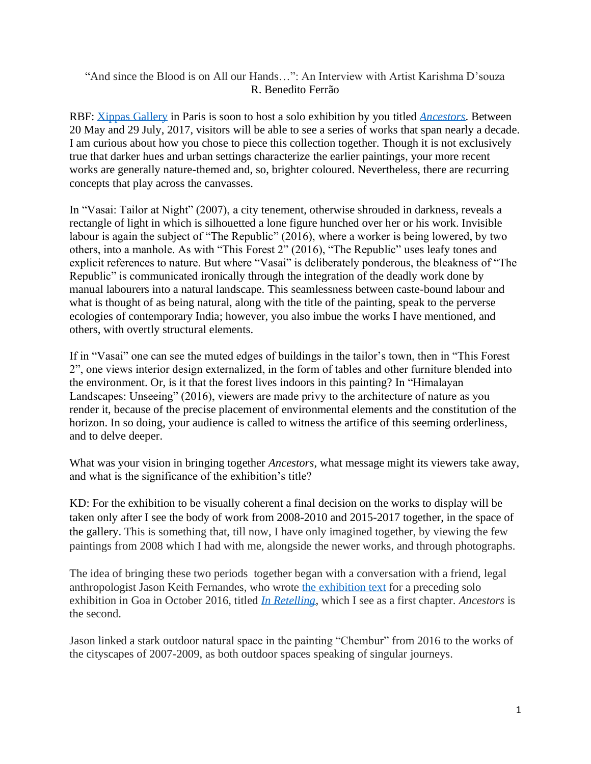## "And since the Blood is on All our Hands…": An Interview with Artist Karishma D'souza R. Benedito Ferrão

RBF: [Xippas Gallery](http://www.xippas.com/) in Paris is soon to host a solo exhibition by you titled *[Ancestors](http://www.xippas.com/exhibition/ancestors-karishma-dsouza/)*. Between 20 May and 29 July, 2017, visitors will be able to see a series of works that span nearly a decade. I am curious about how you chose to piece this collection together. Though it is not exclusively true that darker hues and urban settings characterize the earlier paintings, your more recent works are generally nature-themed and, so, brighter coloured. Nevertheless, there are recurring concepts that play across the canvasses.

In "Vasai: Tailor at Night" (2007), a city tenement, otherwise shrouded in darkness, reveals a rectangle of light in which is silhouetted a lone figure hunched over her or his work. Invisible labour is again the subject of "The Republic" (2016), where a worker is being lowered, by two others, into a manhole. As with "This Forest 2" (2016), "The Republic" uses leafy tones and explicit references to nature. But where "Vasai" is deliberately ponderous, the bleakness of "The Republic" is communicated ironically through the integration of the deadly work done by manual labourers into a natural landscape. This seamlessness between caste-bound labour and what is thought of as being natural, along with the title of the painting, speak to the perverse ecologies of contemporary India; however, you also imbue the works I have mentioned, and others, with overtly structural elements.

If in "Vasai" one can see the muted edges of buildings in the tailor's town, then in "This Forest 2", one views interior design externalized, in the form of tables and other furniture blended into the environment. Or, is it that the forest lives indoors in this painting? In "Himalayan Landscapes: Unseeing" (2016), viewers are made privy to the architecture of nature as you render it, because of the precise placement of environmental elements and the constitution of the horizon. In so doing, your audience is called to witness the artifice of this seeming orderliness, and to delve deeper.

What was your vision in bringing together *Ancestors*, what message might its viewers take away, and what is the significance of the exhibition's title?

KD: For the exhibition to be visually coherent a final decision on the works to display will be taken only after I see the body of work from 2008-2010 and 2015-2017 together, in the space of the gallery. This is something that, till now, I have only imagined together, by viewing the few paintings from 2008 which I had with me, alongside the newer works, and through photographs.

The idea of bringing these two periods together began with a conversation with a friend, legal anthropologist Jason Keith Fernandes, who wrote [the exhibition text](http://dervishnotes.blogspot.in/2016/10/exploring-iconography-of-retelling.html) for a preceding solo exhibition in Goa in October 2016, titled *[In Retelling](https://www.facebook.com/events/1213468308704522/)*, which I see as a first chapter. *Ancestors* is the second.

Jason linked a stark outdoor natural space in the painting "Chembur" from 2016 to the works of the cityscapes of 2007-2009, as both outdoor spaces speaking of singular journeys.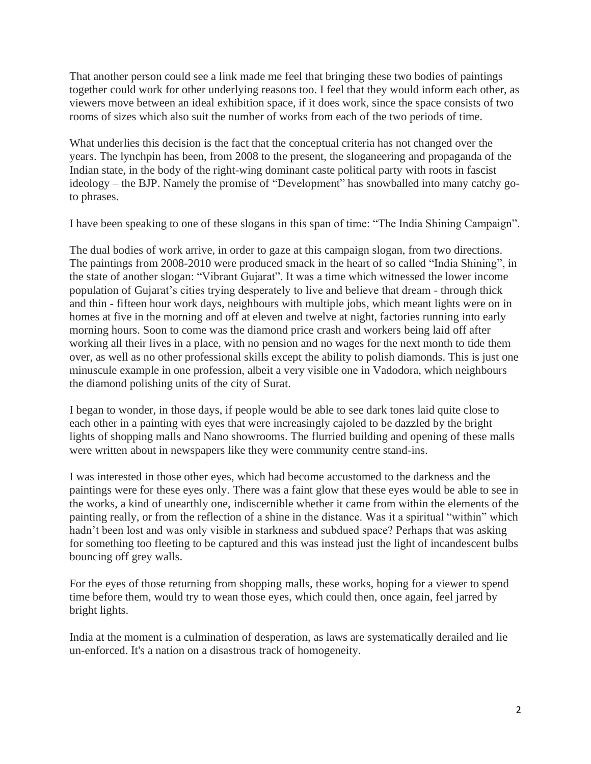That another person could see a link made me feel that bringing these two bodies of paintings together could work for other underlying reasons too. I feel that they would inform each other, as viewers move between an ideal exhibition space, if it does work, since the space consists of two rooms of sizes which also suit the number of works from each of the two periods of time.

What underlies this decision is the fact that the conceptual criteria has not changed over the years. The lynchpin has been, from 2008 to the present, the sloganeering and propaganda of the Indian state, in the body of the right-wing dominant caste political party with roots in fascist ideology – the BJP. Namely the promise of "Development" has snowballed into many catchy goto phrases.

I have been speaking to one of these slogans in this span of time: "The India Shining Campaign".

The dual bodies of work arrive, in order to gaze at this campaign slogan, from two directions. The paintings from 2008-2010 were produced smack in the heart of so called "India Shining", in the state of another slogan: "Vibrant Gujarat". It was a time which witnessed the lower income population of Gujarat's cities trying desperately to live and believe that dream - through thick and thin - fifteen hour work days, neighbours with multiple jobs, which meant lights were on in homes at five in the morning and off at eleven and twelve at night, factories running into early morning hours. Soon to come was the diamond price crash and workers being laid off after working all their lives in a place, with no pension and no wages for the next month to tide them over, as well as no other professional skills except the ability to polish diamonds. This is just one minuscule example in one profession, albeit a very visible one in Vadodora, which neighbours the diamond polishing units of the city of Surat.

I began to wonder, in those days, if people would be able to see dark tones laid quite close to each other in a painting with eyes that were increasingly cajoled to be dazzled by the bright lights of shopping malls and Nano showrooms. The flurried building and opening of these malls were written about in newspapers like they were community centre stand-ins.

I was interested in those other eyes, which had become accustomed to the darkness and the paintings were for these eyes only. There was a faint glow that these eyes would be able to see in the works, a kind of unearthly one, indiscernible whether it came from within the elements of the painting really, or from the reflection of a shine in the distance. Was it a spiritual "within" which hadn't been lost and was only visible in starkness and subdued space? Perhaps that was asking for something too fleeting to be captured and this was instead just the light of incandescent bulbs bouncing off grey walls.

For the eyes of those returning from shopping malls, these works, hoping for a viewer to spend time before them, would try to wean those eyes, which could then, once again, feel jarred by bright lights.

India at the moment is a culmination of desperation, as laws are systematically derailed and lie un-enforced. It's a nation on a disastrous track of homogeneity.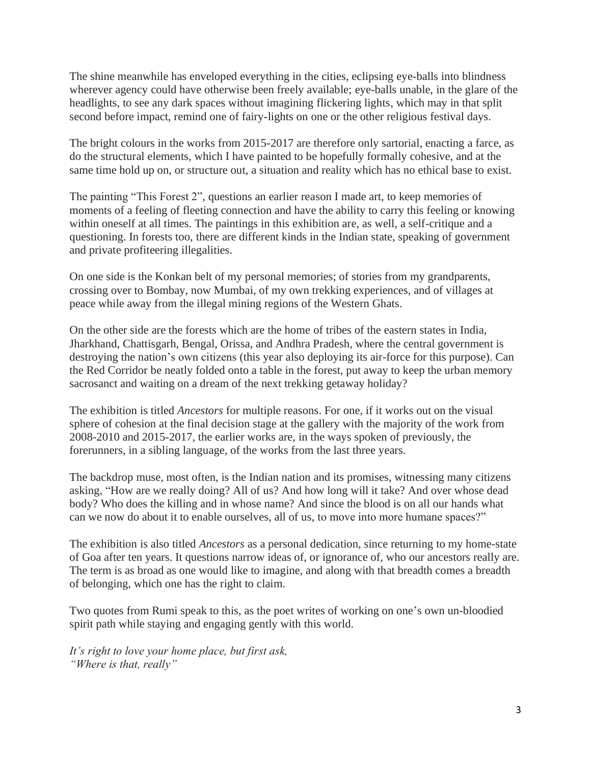The shine meanwhile has enveloped everything in the cities, eclipsing eye-balls into blindness wherever agency could have otherwise been freely available; eye-balls unable, in the glare of the headlights, to see any dark spaces without imagining flickering lights, which may in that split second before impact, remind one of fairy-lights on one or the other religious festival days.

The bright colours in the works from 2015-2017 are therefore only sartorial, enacting a farce, as do the structural elements, which I have painted to be hopefully formally cohesive, and at the same time hold up on, or structure out, a situation and reality which has no ethical base to exist.

The painting "This Forest 2", questions an earlier reason I made art, to keep memories of moments of a feeling of fleeting connection and have the ability to carry this feeling or knowing within oneself at all times. The paintings in this exhibition are, as well, a self-critique and a questioning. In forests too, there are different kinds in the Indian state, speaking of government and private profiteering illegalities.

On one side is the Konkan belt of my personal memories; of stories from my grandparents, crossing over to Bombay, now Mumbai, of my own trekking experiences, and of villages at peace while away from the illegal mining regions of the Western Ghats.

On the other side are the forests which are the home of tribes of the eastern states in India, Jharkhand, Chattisgarh, Bengal, Orissa, and Andhra Pradesh, where the central government is destroying the nation's own citizens (this year also deploying its air-force for this purpose). Can the Red Corridor be neatly folded onto a table in the forest, put away to keep the urban memory sacrosanct and waiting on a dream of the next trekking getaway holiday?

The exhibition is titled *Ancestors* for multiple reasons. For one, if it works out on the visual sphere of cohesion at the final decision stage at the gallery with the majority of the work from 2008-2010 and 2015-2017, the earlier works are, in the ways spoken of previously, the forerunners, in a sibling language, of the works from the last three years.

The backdrop muse, most often, is the Indian nation and its promises, witnessing many citizens asking, "How are we really doing? All of us? And how long will it take? And over whose dead body? Who does the killing and in whose name? And since the blood is on all our hands what can we now do about it to enable ourselves, all of us, to move into more humane spaces?"

The exhibition is also titled *Ancestors* as a personal dedication, since returning to my home-state of Goa after ten years. It questions narrow ideas of, or ignorance of, who our ancestors really are. The term is as broad as one would like to imagine, and along with that breadth comes a breadth of belonging, which one has the right to claim.

Two quotes from Rumi speak to this, as the poet writes of working on one's own un-bloodied spirit path while staying and engaging gently with this world.

*It's right to love your home place, but first ask, "Where is that, really"*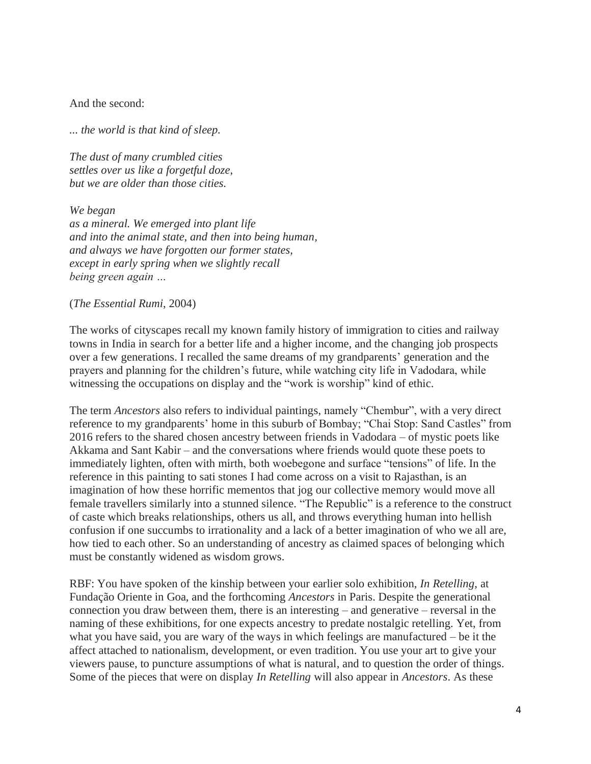And the second:

*... the world is that kind of sleep.*

*The dust of many crumbled cities settles over us like a forgetful doze, but we are older than those cities.*

*We began as a mineral. We emerged into plant life and into the animal state, and then into being human, and always we have forgotten our former states, except in early spring when we slightly recall being green again …*

(*The Essential Rumi*, 2004)

The works of cityscapes recall my known family history of immigration to cities and railway towns in India in search for a better life and a higher income, and the changing job prospects over a few generations. I recalled the same dreams of my grandparents' generation and the prayers and planning for the children's future, while watching city life in Vadodara, while witnessing the occupations on display and the "work is worship" kind of ethic.

The term *Ancestors* also refers to individual paintings, namely "Chembur", with a very direct reference to my grandparents' home in this suburb of Bombay; "Chai Stop: Sand Castles" from 2016 refers to the shared chosen ancestry between friends in Vadodara – of mystic poets like Akkama and Sant Kabir – and the conversations where friends would quote these poets to immediately lighten, often with mirth, both woebegone and surface "tensions" of life. In the reference in this painting to sati stones I had come across on a visit to Rajasthan, is an imagination of how these horrific mementos that jog our collective memory would move all female travellers similarly into a stunned silence. "The Republic" is a reference to the construct of caste which breaks relationships, others us all, and throws everything human into hellish confusion if one succumbs to irrationality and a lack of a better imagination of who we all are, how tied to each other. So an understanding of ancestry as claimed spaces of belonging which must be constantly widened as wisdom grows.

RBF: You have spoken of the kinship between your earlier solo exhibition, *In Retelling*, at Fundação Oriente in Goa, and the forthcoming *Ancestors* in Paris. Despite the generational connection you draw between them, there is an interesting – and generative – reversal in the naming of these exhibitions, for one expects ancestry to predate nostalgic retelling. Yet, from what you have said, you are wary of the ways in which feelings are manufactured – be it the affect attached to nationalism, development, or even tradition. You use your art to give your viewers pause, to puncture assumptions of what is natural, and to question the order of things. Some of the pieces that were on display *In Retelling* will also appear in *Ancestors*. As these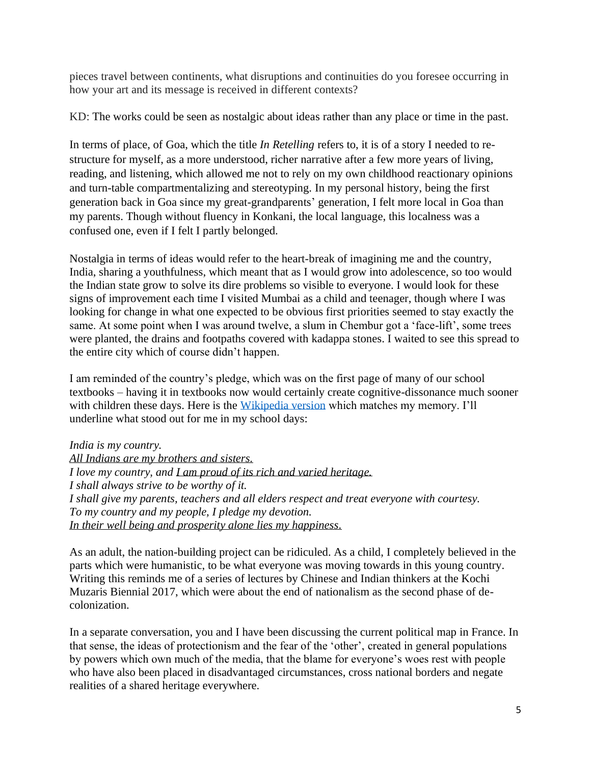pieces travel between continents, what disruptions and continuities do you foresee occurring in how your art and its message is received in different contexts?

KD: The works could be seen as nostalgic about ideas rather than any place or time in the past.

In terms of place, of Goa, which the title *In Retelling* refers to, it is of a story I needed to restructure for myself, as a more understood, richer narrative after a few more years of living, reading, and listening, which allowed me not to rely on my own childhood reactionary opinions and turn-table compartmentalizing and stereotyping. In my personal history, being the first generation back in Goa since my great-grandparents' generation, I felt more local in Goa than my parents. Though without fluency in Konkani, the local language, this localness was a confused one, even if I felt I partly belonged.

Nostalgia in terms of ideas would refer to the heart-break of imagining me and the country, India, sharing a youthfulness, which meant that as I would grow into adolescence, so too would the Indian state grow to solve its dire problems so visible to everyone. I would look for these signs of improvement each time I visited Mumbai as a child and teenager, though where I was looking for change in what one expected to be obvious first priorities seemed to stay exactly the same. At some point when I was around twelve, a slum in Chembur got a 'face-lift', some trees were planted, the drains and footpaths covered with kadappa stones. I waited to see this spread to the entire city which of course didn't happen.

I am reminded of the country's pledge, which was on the first page of many of our school textbooks – having it in textbooks now would certainly create cognitive-dissonance much sooner with children these days. Here is the [Wikipedia version](https://en.wikipedia.org/wiki/National_Pledge_(India)) which matches my memory. I'll underline what stood out for me in my school days:

*India is my country. All Indians are my brothers and sisters. I love my country, and I am proud of its rich and varied heritage. I shall always strive to be worthy of it. I shall give my parents, teachers and all elders respect and treat everyone with courtesy. To my country and my people, I pledge my devotion. In their well being and prosperity alone lies my happiness.*

As an adult, the nation-building project can be ridiculed. As a child, I completely believed in the parts which were humanistic, to be what everyone was moving towards in this young country. Writing this reminds me of a series of lectures by Chinese and Indian thinkers at the Kochi Muzaris Biennial 2017, which were about the end of nationalism as the second phase of decolonization.

In a separate conversation, you and I have been discussing the current political map in France. In that sense, the ideas of protectionism and the fear of the 'other', created in general populations by powers which own much of the media, that the blame for everyone's woes rest with people who have also been placed in disadvantaged circumstances, cross national borders and negate realities of a shared heritage everywhere.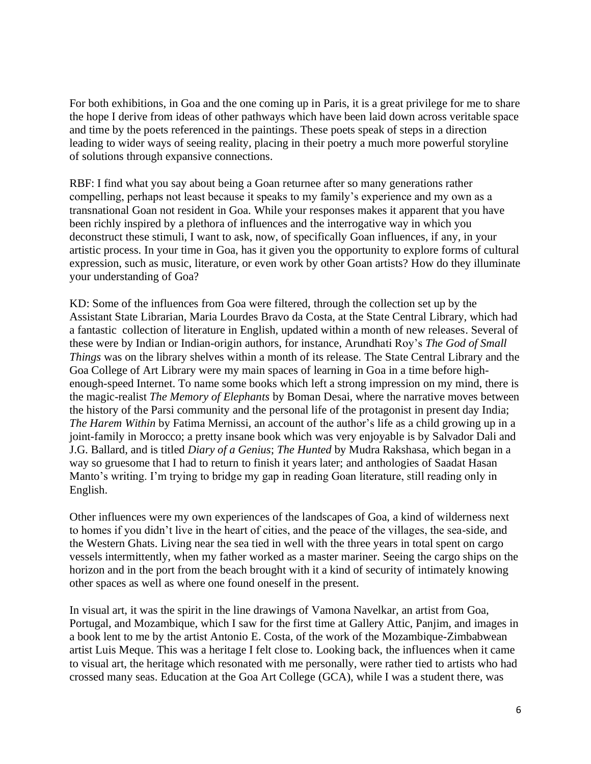For both exhibitions, in Goa and the one coming up in Paris, it is a great privilege for me to share the hope I derive from ideas of other pathways which have been laid down across veritable space and time by the poets referenced in the paintings. These poets speak of steps in a direction leading to wider ways of seeing reality, placing in their poetry a much more powerful storyline of solutions through expansive connections.

RBF: I find what you say about being a Goan returnee after so many generations rather compelling, perhaps not least because it speaks to my family's experience and my own as a transnational Goan not resident in Goa. While your responses makes it apparent that you have been richly inspired by a plethora of influences and the interrogative way in which you deconstruct these stimuli, I want to ask, now, of specifically Goan influences, if any, in your artistic process. In your time in Goa, has it given you the opportunity to explore forms of cultural expression, such as music, literature, or even work by other Goan artists? How do they illuminate your understanding of Goa?

KD: Some of the influences from Goa were filtered, through the collection set up by the Assistant State Librarian, Maria Lourdes Bravo da Costa, at the State Central Library, which had a fantastic collection of literature in English, updated within a month of new releases. Several of these were by Indian or Indian-origin authors, for instance, Arundhati Roy's *The God of Small Things* was on the library shelves within a month of its release. The State Central Library and the Goa College of Art Library were my main spaces of learning in Goa in a time before highenough-speed Internet. To name some books which left a strong impression on my mind, there is the magic-realist *The Memory of Elephants* by Boman Desai, where the narrative moves between the history of the Parsi community and the personal life of the protagonist in present day India; *The Harem Within* by Fatima Mernissi, an account of the author's life as a child growing up in a joint-family in Morocco; a pretty insane book which was very enjoyable is by Salvador Dali and J.G. Ballard, and is titled *Diary of a Genius*; *The Hunted* by Mudra Rakshasa, which began in a way so gruesome that I had to return to finish it years later; and anthologies of Saadat Hasan Manto's writing. I'm trying to bridge my gap in reading Goan literature, still reading only in English.

Other influences were my own experiences of the landscapes of Goa, a kind of wilderness next to homes if you didn't live in the heart of cities, and the peace of the villages, the sea-side, and the Western Ghats. Living near the sea tied in well with the three years in total spent on cargo vessels intermittently, when my father worked as a master mariner. Seeing the cargo ships on the horizon and in the port from the beach brought with it a kind of security of intimately knowing other spaces as well as where one found oneself in the present.

In visual art, it was the spirit in the line drawings of Vamona Navelkar, an artist from Goa, Portugal, and Mozambique, which I saw for the first time at Gallery Attic, Panjim, and images in a book lent to me by the artist Antonio E. Costa, of the work of the Mozambique-Zimbabwean artist Luis Meque. This was a heritage I felt close to. Looking back, the influences when it came to visual art, the heritage which resonated with me personally, were rather tied to artists who had crossed many seas. Education at the Goa Art College (GCA), while I was a student there, was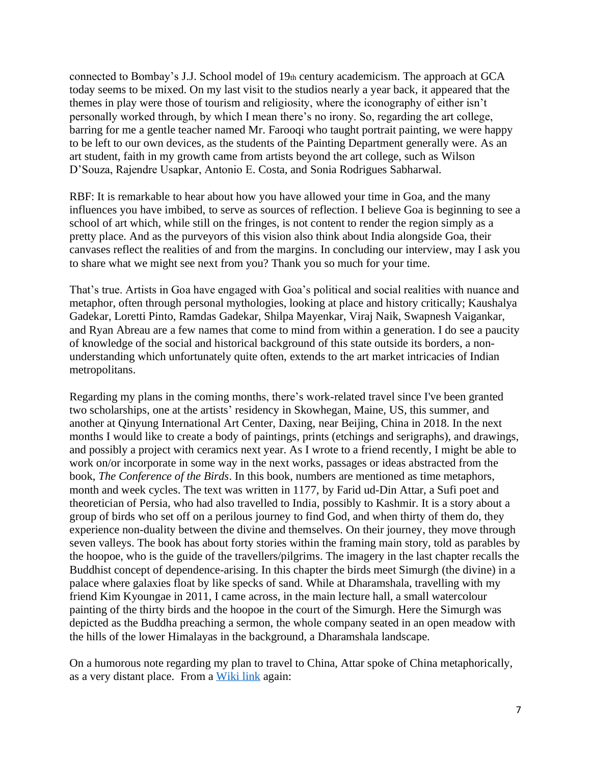connected to Bombay's J.J. School model of  $19<sub>th</sub>$  century academicism. The approach at GCA today seems to be mixed. On my last visit to the studios nearly a year back, it appeared that the themes in play were those of tourism and religiosity, where the iconography of either isn't personally worked through, by which I mean there's no irony. So, regarding the art college, barring for me a gentle teacher named Mr. Farooqi who taught portrait painting, we were happy to be left to our own devices, as the students of the Painting Department generally were. As an art student, faith in my growth came from artists beyond the art college, such as Wilson D'Souza, Rajendre Usapkar, Antonio E. Costa, and Sonia Rodrigues Sabharwal.

RBF: It is remarkable to hear about how you have allowed your time in Goa, and the many influences you have imbibed, to serve as sources of reflection. I believe Goa is beginning to see a school of art which, while still on the fringes, is not content to render the region simply as a pretty place. And as the purveyors of this vision also think about India alongside Goa, their canvases reflect the realities of and from the margins. In concluding our interview, may I ask you to share what we might see next from you? Thank you so much for your time.

That's true. Artists in Goa have engaged with Goa's political and social realities with nuance and metaphor, often through personal mythologies, looking at place and history critically; Kaushalya Gadekar, Loretti Pinto, Ramdas Gadekar, Shilpa Mayenkar, Viraj Naik, Swapnesh Vaigankar, and Ryan Abreau are a few names that come to mind from within a generation. I do see a paucity of knowledge of the social and historical background of this state outside its borders, a nonunderstanding which unfortunately quite often, extends to the art market intricacies of Indian metropolitans.

Regarding my plans in the coming months, there's work-related travel since I've been granted two scholarships, one at the artists' residency in Skowhegan, Maine, US, this summer, and another at Qinyung International Art Center, Daxing, near Beijing, China in 2018. In the next months I would like to create a body of paintings, prints (etchings and serigraphs), and drawings, and possibly a project with ceramics next year. As I wrote to a friend recently, I might be able to work on/or incorporate in some way in the next works, passages or ideas abstracted from the book, *The Conference of the Birds*. In this book, numbers are mentioned as time metaphors, month and week cycles. The text was written in 1177, by Farid ud-Din Attar, a Sufi poet and theoretician of Persia, who had also travelled to India, possibly to Kashmir. It is a story about a group of birds who set off on a perilous journey to find God, and when thirty of them do, they experience non-duality between the divine and themselves. On their journey, they move through seven valleys. The book has about forty stories within the framing main story, told as parables by the hoopoe, who is the guide of the travellers/pilgrims. The imagery in the last chapter recalls the Buddhist concept of dependence-arising. In this chapter the birds meet Simurgh (the divine) in a palace where galaxies float by like specks of sand. While at Dharamshala, travelling with my friend Kim Kyoungae in 2011, I came across, in the main lecture hall, a small watercolour painting of the thirty birds and the hoopoe in the court of the Simurgh. Here the Simurgh was depicted as the Buddha preaching a sermon, the whole company seated in an open meadow with the hills of the lower Himalayas in the background, a Dharamshala landscape.

On a humorous note regarding my plan to travel to China, Attar spoke of China metaphorically, as a very distant place. From a [Wiki link](https://en.wikipedia.org/wiki/The_Conference_of_the_Birds) again: